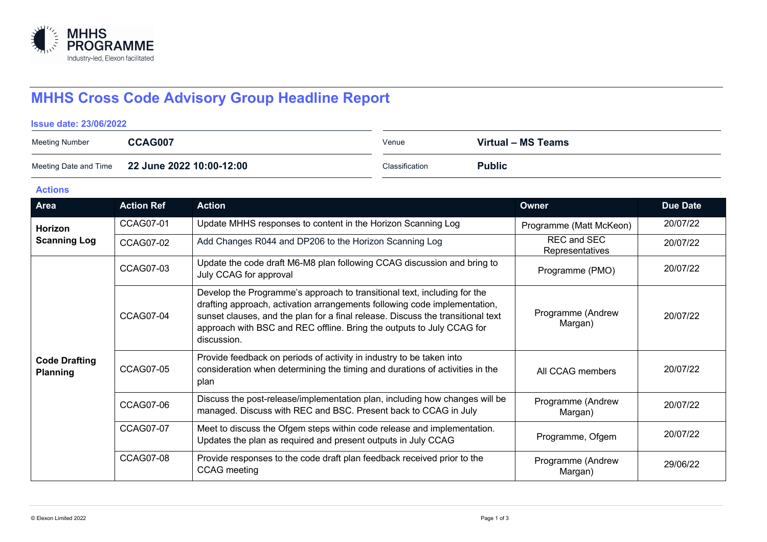

# **MHHS Cross Code Advisory Group Headline Report**

#### **Issue date: 23/06/2022**

| <b>Meeting Number</b> | CCAG007                                        | Venue          | Virtual – MS Teams |
|-----------------------|------------------------------------------------|----------------|--------------------|
|                       | Meeting Date and Time 22 June 2022 10:00-12:00 | Classification | <b>Public</b>      |

#### **Actions**

| Area                                    | <b>Action Ref</b> | <b>Action</b>                                                                                                                                                                                                                                                                                                                    | <b>Owner</b>                          | <b>Due Date</b> |
|-----------------------------------------|-------------------|----------------------------------------------------------------------------------------------------------------------------------------------------------------------------------------------------------------------------------------------------------------------------------------------------------------------------------|---------------------------------------|-----------------|
| Horizon<br><b>Scanning Log</b>          | <b>CCAG07-01</b>  | Update MHHS responses to content in the Horizon Scanning Log                                                                                                                                                                                                                                                                     | Programme (Matt McKeon)               | 20/07/22        |
|                                         | CCAG07-02         | Add Changes R044 and DP206 to the Horizon Scanning Log                                                                                                                                                                                                                                                                           | <b>REC and SEC</b><br>Representatives | 20/07/22        |
|                                         | CCAG07-03         | Update the code draft M6-M8 plan following CCAG discussion and bring to<br>July CCAG for approval                                                                                                                                                                                                                                | Programme (PMO)                       | 20/07/22        |
|                                         | CCAG07-04         | Develop the Programme's approach to transitional text, including for the<br>drafting approach, activation arrangements following code implementation,<br>sunset clauses, and the plan for a final release. Discuss the transitional text<br>approach with BSC and REC offline. Bring the outputs to July CCAG for<br>discussion. | Programme (Andrew<br>Margan)          | 20/07/22        |
| <b>Code Drafting</b><br><b>Planning</b> | <b>CCAG07-05</b>  | Provide feedback on periods of activity in industry to be taken into<br>consideration when determining the timing and durations of activities in the<br>plan                                                                                                                                                                     | All CCAG members                      | 20/07/22        |
|                                         | <b>CCAG07-06</b>  | Discuss the post-release/implementation plan, including how changes will be<br>managed. Discuss with REC and BSC. Present back to CCAG in July                                                                                                                                                                                   | Programme (Andrew<br>Margan)          | 20/07/22        |
|                                         | <b>CCAG07-07</b>  | Meet to discuss the Ofgem steps within code release and implementation.<br>Updates the plan as required and present outputs in July CCAG                                                                                                                                                                                         | Programme, Ofgem                      | 20/07/22        |
|                                         | <b>CCAG07-08</b>  | Provide responses to the code draft plan feedback received prior to the<br><b>CCAG</b> meeting                                                                                                                                                                                                                                   | Programme (Andrew<br>Margan)          | 29/06/22        |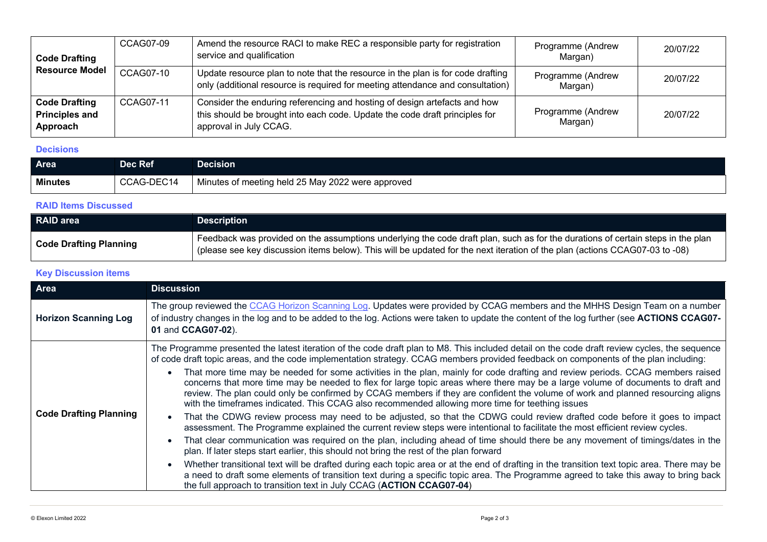| <b>Code Drafting</b><br><b>Resource Model</b>             | CCAG07-09 | Amend the resource RACI to make REC a responsible party for registration<br>service and qualification                                                                              | Programme (Andrew<br>Margan) | 20/07/22 |
|-----------------------------------------------------------|-----------|------------------------------------------------------------------------------------------------------------------------------------------------------------------------------------|------------------------------|----------|
|                                                           | CCAG07-10 | Update resource plan to note that the resource in the plan is for code drafting<br>only (additional resource is required for meeting attendance and consultation)                  | Programme (Andrew<br>Margan) | 20/07/22 |
| <b>Code Drafting</b><br><b>Principles and</b><br>Approach | CCAG07-11 | Consider the enduring referencing and hosting of design artefacts and how<br>this should be brought into each code. Update the code draft principles for<br>approval in July CCAG. | Programme (Andrew<br>Margan) | 20/07/22 |

### **Decisions**

| Area           | Dec Ref    | <b>Decision</b>                                   |
|----------------|------------|---------------------------------------------------|
| <b>Minutes</b> | CCAG-DEC14 | Minutes of meeting held 25 May 2022 were approved |

## **RAID Items Discussed**

| <b>RAID area</b>              | 'Description                                                                                                                                                                                                                                                   |
|-------------------------------|----------------------------------------------------------------------------------------------------------------------------------------------------------------------------------------------------------------------------------------------------------------|
| <b>Code Drafting Planning</b> | Feedback was provided on the assumptions underlying the code draft plan, such as for the durations of certain steps in the plan<br>(please see key discussion items below). This will be updated for the next iteration of the plan (actions CCAG07-03 to -08) |

## **Key Discussion items**

| Area                          | <b>Discussion</b>                                                                                                                                                                                                                                                                                                                                                                                                                                                                                                                                                                                                                                                                                                                                                                                                                                                                                                                                                                                                                                                                                                                                                                                                                                                                                                                                                                                                                                                                                                                                                                                                                                         |
|-------------------------------|-----------------------------------------------------------------------------------------------------------------------------------------------------------------------------------------------------------------------------------------------------------------------------------------------------------------------------------------------------------------------------------------------------------------------------------------------------------------------------------------------------------------------------------------------------------------------------------------------------------------------------------------------------------------------------------------------------------------------------------------------------------------------------------------------------------------------------------------------------------------------------------------------------------------------------------------------------------------------------------------------------------------------------------------------------------------------------------------------------------------------------------------------------------------------------------------------------------------------------------------------------------------------------------------------------------------------------------------------------------------------------------------------------------------------------------------------------------------------------------------------------------------------------------------------------------------------------------------------------------------------------------------------------------|
| <b>Horizon Scanning Log</b>   | The group reviewed the CCAG Horizon Scanning Log. Updates were provided by CCAG members and the MHHS Design Team on a number<br>of industry changes in the log and to be added to the log. Actions were taken to update the content of the log further (see ACTIONS CCAG07-<br>01 and CCAG07-02).                                                                                                                                                                                                                                                                                                                                                                                                                                                                                                                                                                                                                                                                                                                                                                                                                                                                                                                                                                                                                                                                                                                                                                                                                                                                                                                                                         |
| <b>Code Drafting Planning</b> | The Programme presented the latest iteration of the code draft plan to M8. This included detail on the code draft review cycles, the sequence<br>of code draft topic areas, and the code implementation strategy. CCAG members provided feedback on components of the plan including:<br>That more time may be needed for some activities in the plan, mainly for code drafting and review periods. CCAG members raised<br>concerns that more time may be needed to flex for large topic areas where there may be a large volume of documents to draft and<br>review. The plan could only be confirmed by CCAG members if they are confident the volume of work and planned resourcing aligns<br>with the timeframes indicated. This CCAG also recommended allowing more time for teething issues<br>That the CDWG review process may need to be adjusted, so that the CDWG could review drafted code before it goes to impact<br>assessment. The Programme explained the current review steps were intentional to facilitate the most efficient review cycles.<br>That clear communication was required on the plan, including ahead of time should there be any movement of timings/dates in the<br>plan. If later steps start earlier, this should not bring the rest of the plan forward<br>Whether transitional text will be drafted during each topic area or at the end of drafting in the transition text topic area. There may be<br>a need to draft some elements of transition text during a specific topic area. The Programme agreed to take this away to bring back<br>the full approach to transition text in July CCAG (ACTION CCAG07-04) |